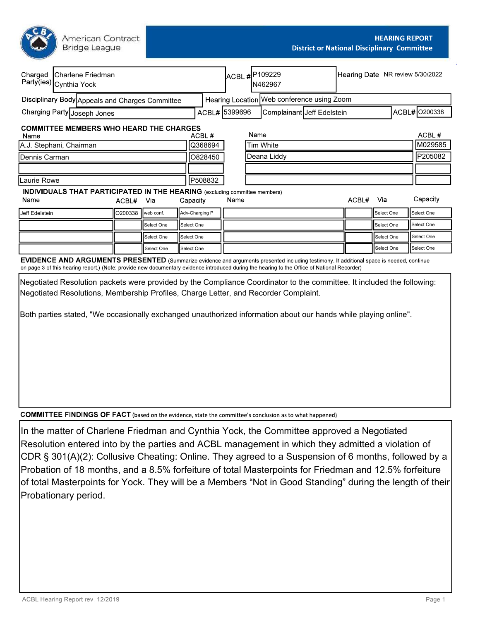American Contract **Bridge League** 

| Charged                                      | Charlene Friedman<br>Party(ies) Cynthia Yock                                      |                     |            |            |                | ACBL #P109229 |             | N462967                                                                                                                                                                                                                                                                                   | Hearing Date NR review 5/30/2022 |            |                  |
|----------------------------------------------|-----------------------------------------------------------------------------------|---------------------|------------|------------|----------------|---------------|-------------|-------------------------------------------------------------------------------------------------------------------------------------------------------------------------------------------------------------------------------------------------------------------------------------------|----------------------------------|------------|------------------|
|                                              | Disciplinary Body Appeals and Charges Committee                                   |                     |            |            |                |               |             | Hearing Location Web conference using Zoom                                                                                                                                                                                                                                                |                                  |            |                  |
| ACBL# 5399696<br>Charging Party Joseph Jones |                                                                                   |                     |            |            |                |               |             | Complainant Jeff Edelstein                                                                                                                                                                                                                                                                |                                  |            | ACBL# 0200338    |
| Name                                         | <b>COMMITTEE MEMBERS WHO HEARD THE CHARGES</b>                                    |                     |            |            | ACBL#          |               | Name        |                                                                                                                                                                                                                                                                                           |                                  |            | ACBL#<br>M029585 |
| Q368694<br>A.J. Stephani, Chairman           |                                                                                   |                     |            |            |                |               | Tim White   |                                                                                                                                                                                                                                                                                           |                                  |            |                  |
| O828450<br>Dennis Carman                     |                                                                                   |                     |            |            |                |               | Deana Liddy |                                                                                                                                                                                                                                                                                           |                                  | P205082    |                  |
|                                              |                                                                                   |                     |            |            |                |               |             |                                                                                                                                                                                                                                                                                           |                                  |            |                  |
| P508832<br>Laurie Rowe                       |                                                                                   |                     |            |            |                |               |             |                                                                                                                                                                                                                                                                                           |                                  |            |                  |
|                                              | <b>INDIVIDUALS THAT PARTICIPATED IN THE HEARING</b> (excluding committee members) |                     |            |            |                |               |             |                                                                                                                                                                                                                                                                                           |                                  |            |                  |
| Name                                         |                                                                                   | ACBL#               | Via        | Capacity   |                | Name          |             |                                                                                                                                                                                                                                                                                           | ACBL#                            | Via        | Capacity         |
| Jeff Edelstein                               |                                                                                   | O200338   web conf. |            |            | Adv-Charging P |               |             |                                                                                                                                                                                                                                                                                           |                                  | Select One | Select One       |
|                                              |                                                                                   |                     | Select One | Select One |                |               |             |                                                                                                                                                                                                                                                                                           |                                  | Select One | Select One       |
|                                              |                                                                                   |                     | Select One | Select One |                |               |             |                                                                                                                                                                                                                                                                                           |                                  | Select One | Select One       |
|                                              |                                                                                   |                     | Select One | Select One |                |               |             |                                                                                                                                                                                                                                                                                           |                                  | Select One | Select One       |
|                                              |                                                                                   |                     |            |            |                |               |             | EVIDENCE AND ARGUMENTS PRESENTED (Summarize evidence and arguments presented including testimony. If additional space is needed, continue<br>on page 3 of this hearing report.) (Note: provide new documentary evidence introduced during the hearing to the Office of National Recorder) |                                  |            |                  |
|                                              |                                                                                   |                     |            |            |                |               |             | Negotiated Resolution packets were provided by the Compliance Coordinator to the committee. It included the following:                                                                                                                                                                    |                                  |            |                  |

Negotiated Resolutions, Membership Profiles, Charge Letter, and Recorder Complaint. Both parties stated, "We occasionally exchanged unauthorized information about our hands while playing online".

**COMMITTEE FINDINGS OF FACT** (based on the evidence, state the committee's conclusion as to what happened)

In the matter of Charlene Friedman and Cynthia Yock, the Committee approved a Negotiated Resolution entered into by the parties and ACBL management in which they admitted a violation of CDR § 301(A)(2): Collusive Cheating: Online. They agreed to a Suspension of 6 months, followed by a Probation of 18 months, and a 8.5% forfeiture of total Masterpoints for Friedman and 12.5% forfeiture of total Masterpoints for Yock. They will be a Members "Not in Good Standing" during the length of their Probationary period.